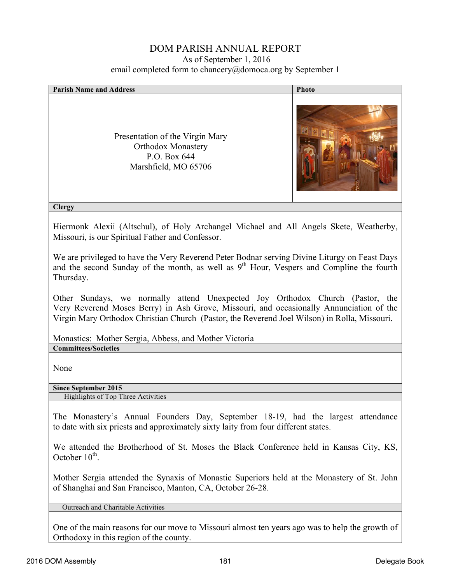## DOM PARISH ANNUAL REPORT As of September 1, 2016 email completed form to chancery@domoca.org by September 1

| <b>Parish Name and Address</b>                                                                                                                                                                                                                                           | Photo |  |  |  |
|--------------------------------------------------------------------------------------------------------------------------------------------------------------------------------------------------------------------------------------------------------------------------|-------|--|--|--|
| Presentation of the Virgin Mary<br><b>Orthodox Monastery</b><br>P.O. Box 644<br>Marshfield, MO 65706                                                                                                                                                                     |       |  |  |  |
| <b>Clergy</b>                                                                                                                                                                                                                                                            |       |  |  |  |
| Hiermonk Alexii (Altschul), of Holy Archangel Michael and All Angels Skete, Weatherby,<br>Missouri, is our Spiritual Father and Confessor.                                                                                                                               |       |  |  |  |
| We are privileged to have the Very Reverend Peter Bodnar serving Divine Liturgy on Feast Days<br>and the second Sunday of the month, as well as 9 <sup>th</sup> Hour, Vespers and Compline the fourth<br>Thursday.                                                       |       |  |  |  |
| Other Sundays, we normally attend Unexpected Joy Orthodox Church (Pastor, the<br>Very Reverend Moses Berry) in Ash Grove, Missouri, and occasionally Annunciation of the<br>Virgin Mary Orthodox Christian Church (Pastor, the Reverend Joel Wilson) in Rolla, Missouri. |       |  |  |  |
| Monastics: Mother Sergia, Abbess, and Mother Victoria                                                                                                                                                                                                                    |       |  |  |  |
| <b>Committees/Societies</b>                                                                                                                                                                                                                                              |       |  |  |  |
| None                                                                                                                                                                                                                                                                     |       |  |  |  |
| <b>Since September 2015</b>                                                                                                                                                                                                                                              |       |  |  |  |
| Highlights of Top Three Activities                                                                                                                                                                                                                                       |       |  |  |  |
| The Monastery's Annual Founders Day, September 18-19, had the largest attendance<br>to date with six priests and approximately sixty laity from four different states.                                                                                                   |       |  |  |  |
| We attended the Brotherhood of St. Moses the Black Conference held in Kansas City, KS,<br>October $10^{th}$ .                                                                                                                                                            |       |  |  |  |
| Mother Sergia attended the Synaxis of Monastic Superiors held at the Monastery of St. John<br>of Shanghai and San Francisco, Manton, CA, October 26-28.                                                                                                                  |       |  |  |  |

Outreach and Charitable Activities

One of the main reasons for our move to Missouri almost ten years ago was to help the growth of Orthodoxy in this region of the county.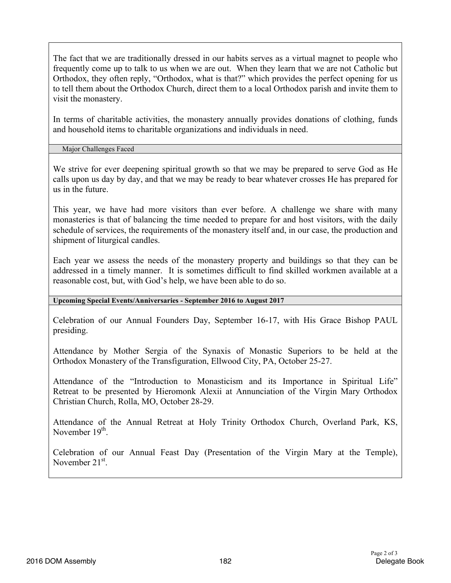The fact that we are traditionally dressed in our habits serves as a virtual magnet to people who frequently come up to talk to us when we are out. When they learn that we are not Catholic but Orthodox, they often reply, "Orthodox, what is that?" which provides the perfect opening for us to tell them about the Orthodox Church, direct them to a local Orthodox parish and invite them to visit the monastery.

In terms of charitable activities, the monastery annually provides donations of clothing, funds and household items to charitable organizations and individuals in need.

Major Challenges Faced

We strive for ever deepening spiritual growth so that we may be prepared to serve God as He calls upon us day by day, and that we may be ready to bear whatever crosses He has prepared for us in the future.

This year, we have had more visitors than ever before. A challenge we share with many monasteries is that of balancing the time needed to prepare for and host visitors, with the daily schedule of services, the requirements of the monastery itself and, in our case, the production and shipment of liturgical candles.

Each year we assess the needs of the monastery property and buildings so that they can be addressed in a timely manner. It is sometimes difficult to find skilled workmen available at a reasonable cost, but, with God's help, we have been able to do so.

**Upcoming Special Events/Anniversaries - September 2016 to August 2017**

Celebration of our Annual Founders Day, September 16-17, with His Grace Bishop PAUL presiding.

Attendance by Mother Sergia of the Synaxis of Monastic Superiors to be held at the Orthodox Monastery of the Transfiguration, Ellwood City, PA, October 25-27.

Attendance of the "Introduction to Monasticism and its Importance in Spiritual Life" Retreat to be presented by Hieromonk Alexii at Annunciation of the Virgin Mary Orthodox Christian Church, Rolla, MO, October 28-29.

Attendance of the Annual Retreat at Holy Trinity Orthodox Church, Overland Park, KS, November 19<sup>th</sup>

Celebration of our Annual Feast Day (Presentation of the Virgin Mary at the Temple), November 21<sup>st</sup>.